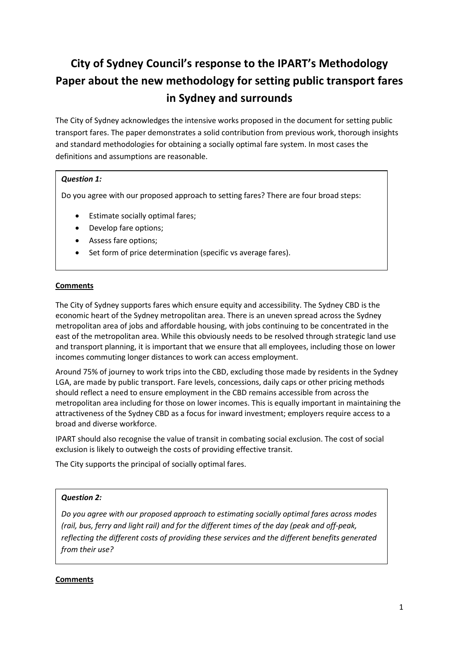# **City of Sydney Council's response to the IPART's Methodology Paper about the new methodology for setting public transport fares in Sydney and surrounds**

The City of Sydney acknowledges the intensive works proposed in the document for setting public transport fares. The paper demonstrates a solid contribution from previous work, thorough insights and standard methodologies for obtaining a socially optimal fare system. In most cases the definitions and assumptions are reasonable.

## *Question 1:*

Do you agree with our proposed approach to setting fares? There are four broad steps:

- Estimate socially optimal fares;
- Develop fare options;
- Assess fare options;
- Set form of price determination (specific vs average fares).

# **Comments**

The City of Sydney supports fares which ensure equity and accessibility. The Sydney CBD is the economic heart of the Sydney metropolitan area. There is an uneven spread across the Sydney metropolitan area of jobs and affordable housing, with jobs continuing to be concentrated in the east of the metropolitan area. While this obviously needs to be resolved through strategic land use and transport planning, it is important that we ensure that all employees, including those on lower incomes commuting longer distances to work can access employment.

Around 75% of journey to work trips into the CBD, excluding those made by residents in the Sydney LGA, are made by public transport. Fare levels, concessions, daily caps or other pricing methods should reflect a need to ensure employment in the CBD remains accessible from across the metropolitan area including for those on lower incomes. This is equally important in maintaining the attractiveness of the Sydney CBD as a focus for inward investment; employers require access to a broad and diverse workforce.

IPART should also recognise the value of transit in combating social exclusion. The cost of social exclusion is likely to outweigh the costs of providing effective transit.

The City supports the principal of socially optimal fares.

## *Question 2:*

*Do you agree with our proposed approach to estimating socially optimal fares across modes (rail, bus, ferry and light rail) and for the different times of the day (peak and off-peak, reflecting the different costs of providing these services and the different benefits generated from their use?*

#### **Comments**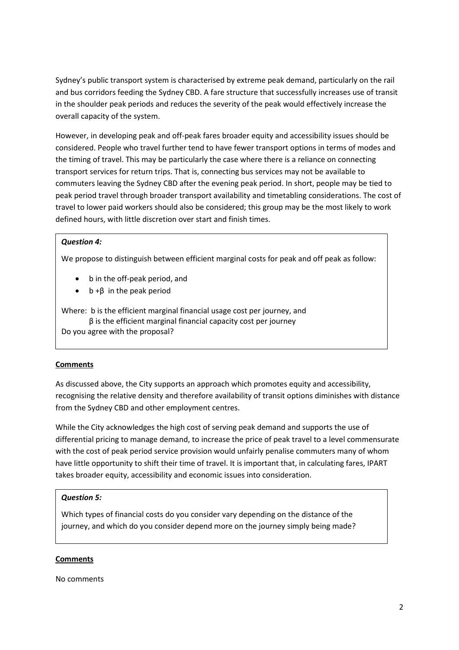Sydney's public transport system is characterised by extreme peak demand, particularly on the rail and bus corridors feeding the Sydney CBD. A fare structure that successfully increases use of transit in the shoulder peak periods and reduces the severity of the peak would effectively increase the overall capacity of the system.

However, in developing peak and off-peak fares broader equity and accessibility issues should be considered. People who travel further tend to have fewer transport options in terms of modes and the timing of travel. This may be particularly the case where there is a reliance on connecting transport services for return trips. That is, connecting bus services may not be available to commuters leaving the Sydney CBD after the evening peak period. In short, people may be tied to peak period travel through broader transport availability and timetabling considerations. The cost of travel to lower paid workers should also be considered; this group may be the most likely to work defined hours, with little discretion over start and finish times.

#### *Question 4:*

We propose to distinguish between efficient marginal costs for peak and off peak as follow:

- b in the off-peak period, and
- $b + β$  in the peak period

Where: b is the efficient marginal financial usage cost per journey, and β is the efficient marginal financial capacity cost per journey Do you agree with the proposal?

## **Comments**

As discussed above, the City supports an approach which promotes equity and accessibility, recognising the relative density and therefore availability of transit options diminishes with distance from the Sydney CBD and other employment centres.

While the City acknowledges the high cost of serving peak demand and supports the use of differential pricing to manage demand, to increase the price of peak travel to a level commensurate with the cost of peak period service provision would unfairly penalise commuters many of whom have little opportunity to shift their time of travel. It is important that, in calculating fares, IPART takes broader equity, accessibility and economic issues into consideration.

#### *Question 5:*

Which types of financial costs do you consider vary depending on the distance of the journey, and which do you consider depend more on the journey simply being made?

#### **Comments**

No comments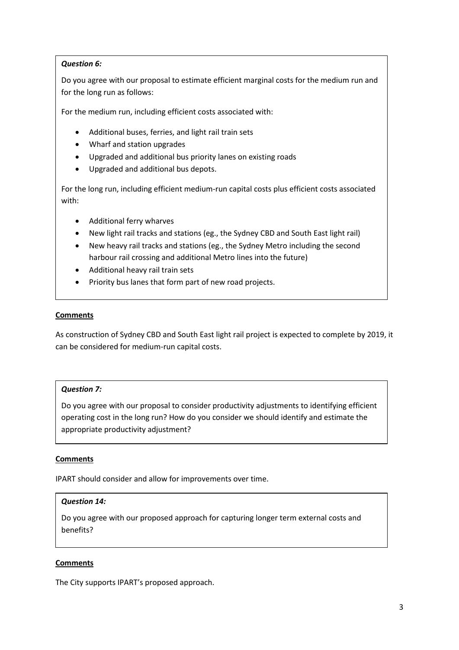## *Question 6:*

Do you agree with our proposal to estimate efficient marginal costs for the medium run and for the long run as follows:

For the medium run, including efficient costs associated with:

- Additional buses, ferries, and light rail train sets
- Wharf and station upgrades
- Upgraded and additional bus priority lanes on existing roads
- Upgraded and additional bus depots.

For the long run, including efficient medium-run capital costs plus efficient costs associated with:

- Additional ferry wharves
- New light rail tracks and stations (eg., the Sydney CBD and South East light rail)
- New heavy rail tracks and stations (eg., the Sydney Metro including the second harbour rail crossing and additional Metro lines into the future)
- Additional heavy rail train sets
- Priority bus lanes that form part of new road projects.

#### **Comments**

As construction of Sydney CBD and South East light rail project is expected to complete by 2019, it can be considered for medium-run capital costs.

## *Question 7:*

Do you agree with our proposal to consider productivity adjustments to identifying efficient operating cost in the long run? How do you consider we should identify and estimate the appropriate productivity adjustment?

## **Comments**

IPART should consider and allow for improvements over time.

#### *Question 14:*

Do you agree with our proposed approach for capturing longer term external costs and benefits?

#### **Comments**

The City supports IPART's proposed approach.